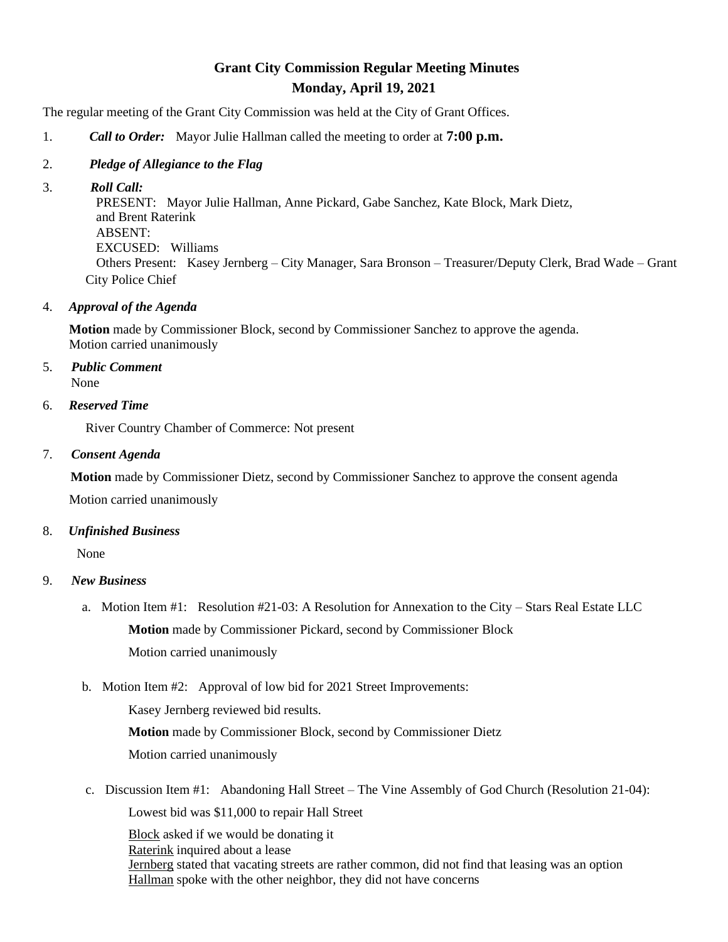# **Grant City Commission Regular Meeting Minutes Monday, April 19, 2021**

The regular meeting of the Grant City Commission was held at the City of Grant Offices.

- 1. *Call to Order:* Mayor Julie Hallman called the meeting to order at **7:00 p.m.**
- 2. *Pledge of Allegiance to the Flag*
- 3. *Roll Call:*

 PRESENT: Mayor Julie Hallman, Anne Pickard, Gabe Sanchez, Kate Block, Mark Dietz, and Brent Raterink ABSENT: EXCUSED: Williams Others Present: Kasey Jernberg – City Manager, Sara Bronson – Treasurer/Deputy Clerk, Brad Wade – Grant City Police Chief

## 4. *Approval of the Agenda*

 **Motion** made by Commissioner Block, second by Commissioner Sanchez to approve the agenda. Motion carried unanimously

5. *Public Comment* None

6. *Reserved Time*

River Country Chamber of Commerce: Not present

#### 7. *Consent Agenda*

 **Motion** made by Commissioner Dietz, second by Commissioner Sanchez to approve the consent agenda Motion carried unanimously

## 8. *Unfinished Business*

None

## 9. *New Business*

- a. Motion Item #1: Resolution #21-03: A Resolution for Annexation to the City Stars Real Estate LLC **Motion** made by Commissioner Pickard, second by Commissioner Block Motion carried unanimously
- b. Motion Item #2: Approval of low bid for 2021 Street Improvements:

Kasey Jernberg reviewed bid results.

 **Motion** made by Commissioner Block, second by Commissioner Dietz Motion carried unanimously

c. Discussion Item #1: Abandoning Hall Street – The Vine Assembly of God Church (Resolution 21-04): Lowest bid was \$11,000 to repair Hall Street

Block asked if we would be donating it Raterink inquired about a lease Jernberg stated that vacating streets are rather common, did not find that leasing was an option Hallman spoke with the other neighbor, they did not have concerns